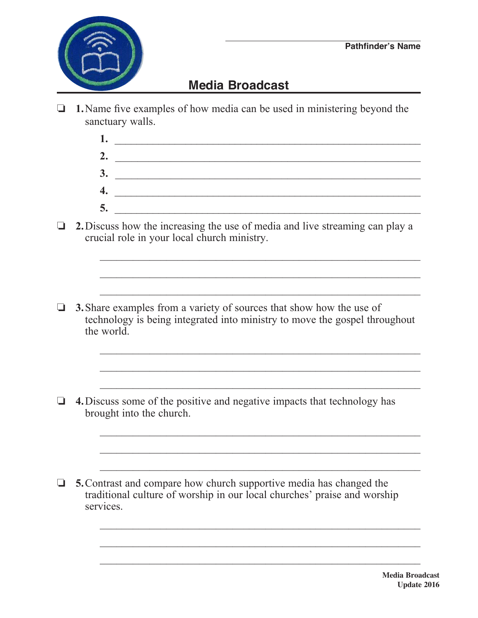

## **Media Broadcast**

- $\Box$  **1.** Name five examples of how media can be used in ministering beyond the sanctuary walls.
	- **1.** \_\_\_\_\_\_\_\_\_\_\_\_\_\_\_\_\_\_\_\_\_\_\_\_\_\_\_\_\_\_\_\_\_\_\_\_\_\_\_\_\_\_\_\_\_\_\_\_\_\_\_\_\_\_\_\_  **2.** \_\_\_\_\_\_\_\_\_\_\_\_\_\_\_\_\_\_\_\_\_\_\_\_\_\_\_\_\_\_\_\_\_\_\_\_\_\_\_\_\_\_\_\_\_\_\_\_\_\_\_\_\_\_\_  **3.** \_\_\_\_\_\_\_\_\_\_\_\_\_\_\_\_\_\_\_\_\_\_\_\_\_\_\_\_\_\_\_\_\_\_\_\_\_\_\_\_\_\_\_\_\_\_\_\_\_\_\_\_\_\_\_  **4.** \_\_\_\_\_\_\_\_\_\_\_\_\_\_\_\_\_\_\_\_\_\_\_\_\_\_\_\_\_\_\_\_\_\_\_\_\_\_\_\_\_\_\_\_\_\_\_\_\_\_\_\_\_\_\_\_  **5.** \_\_\_\_\_\_\_\_\_\_\_\_\_\_\_\_\_\_\_\_\_\_\_\_\_\_\_\_\_\_\_\_\_\_\_\_\_\_\_\_\_\_\_\_\_\_\_\_\_\_\_\_\_\_\_\_

 $\overline{\phantom{a}}$  ,  $\overline{\phantom{a}}$  ,  $\overline{\phantom{a}}$  ,  $\overline{\phantom{a}}$  ,  $\overline{\phantom{a}}$  ,  $\overline{\phantom{a}}$  ,  $\overline{\phantom{a}}$  ,  $\overline{\phantom{a}}$  ,  $\overline{\phantom{a}}$  ,  $\overline{\phantom{a}}$  ,  $\overline{\phantom{a}}$  ,  $\overline{\phantom{a}}$  ,  $\overline{\phantom{a}}$  ,  $\overline{\phantom{a}}$  ,  $\overline{\phantom{a}}$  ,  $\overline{\phantom{a}}$ 

 $\mathcal{L}_\mathcal{L}$  , and the contribution of the contribution of the contribution of the contribution of the contribution of the contribution of the contribution of the contribution of the contribution of the contribution of

 $\Box$  **2.** Discuss how the increasing the use of media and live streaming can play a crucial role in your local church ministry.

 $\mathcal{L}_\text{max} = \frac{1}{2} \sum_{i=1}^{n} \frac{1}{2} \sum_{i=1}^{n} \frac{1}{2} \sum_{i=1}^{n} \frac{1}{2} \sum_{i=1}^{n} \frac{1}{2} \sum_{i=1}^{n} \frac{1}{2} \sum_{i=1}^{n} \frac{1}{2} \sum_{i=1}^{n} \frac{1}{2} \sum_{i=1}^{n} \frac{1}{2} \sum_{i=1}^{n} \frac{1}{2} \sum_{i=1}^{n} \frac{1}{2} \sum_{i=1}^{n} \frac{1}{2} \sum_{i=1}^{n} \frac{1$ 

 $\mathcal{L}_\text{max} = \frac{1}{2} \sum_{i=1}^{n} \frac{1}{2} \sum_{i=1}^{n} \frac{1}{2} \sum_{i=1}^{n} \frac{1}{2} \sum_{i=1}^{n} \frac{1}{2} \sum_{i=1}^{n} \frac{1}{2} \sum_{i=1}^{n} \frac{1}{2} \sum_{i=1}^{n} \frac{1}{2} \sum_{i=1}^{n} \frac{1}{2} \sum_{i=1}^{n} \frac{1}{2} \sum_{i=1}^{n} \frac{1}{2} \sum_{i=1}^{n} \frac{1}{2} \sum_{i=1}^{n} \frac{1$ 

 $\Box$  **3.** Share examples from a variety of sources that show how the use of technology is being integrated into ministry to move the gospel throughout the world.

 $\mathcal{L}_\text{max} = \frac{1}{2} \sum_{i=1}^{n} \frac{1}{2} \sum_{i=1}^{n} \frac{1}{2} \sum_{i=1}^{n} \frac{1}{2} \sum_{i=1}^{n} \frac{1}{2} \sum_{i=1}^{n} \frac{1}{2} \sum_{i=1}^{n} \frac{1}{2} \sum_{i=1}^{n} \frac{1}{2} \sum_{i=1}^{n} \frac{1}{2} \sum_{i=1}^{n} \frac{1}{2} \sum_{i=1}^{n} \frac{1}{2} \sum_{i=1}^{n} \frac{1}{2} \sum_{i=1}^{n} \frac{1$ 

 $\mathcal{L}_\text{max} = \frac{1}{2} \sum_{i=1}^{n} \frac{1}{2} \sum_{i=1}^{n} \frac{1}{2} \sum_{i=1}^{n} \frac{1}{2} \sum_{i=1}^{n} \frac{1}{2} \sum_{i=1}^{n} \frac{1}{2} \sum_{i=1}^{n} \frac{1}{2} \sum_{i=1}^{n} \frac{1}{2} \sum_{i=1}^{n} \frac{1}{2} \sum_{i=1}^{n} \frac{1}{2} \sum_{i=1}^{n} \frac{1}{2} \sum_{i=1}^{n} \frac{1}{2} \sum_{i=1}^{n} \frac{1$ 

 $\mathcal{L}_\text{max} = \frac{1}{2} \sum_{i=1}^{n} \frac{1}{2} \sum_{i=1}^{n} \frac{1}{2} \sum_{i=1}^{n} \frac{1}{2} \sum_{i=1}^{n} \frac{1}{2} \sum_{i=1}^{n} \frac{1}{2} \sum_{i=1}^{n} \frac{1}{2} \sum_{i=1}^{n} \frac{1}{2} \sum_{i=1}^{n} \frac{1}{2} \sum_{i=1}^{n} \frac{1}{2} \sum_{i=1}^{n} \frac{1}{2} \sum_{i=1}^{n} \frac{1}{2} \sum_{i=1}^{n} \frac{1$ 

 $\mathcal{L}_\text{max} = \frac{1}{2} \sum_{i=1}^{n} \frac{1}{2} \sum_{i=1}^{n} \frac{1}{2} \sum_{i=1}^{n} \frac{1}{2} \sum_{i=1}^{n} \frac{1}{2} \sum_{i=1}^{n} \frac{1}{2} \sum_{i=1}^{n} \frac{1}{2} \sum_{i=1}^{n} \frac{1}{2} \sum_{i=1}^{n} \frac{1}{2} \sum_{i=1}^{n} \frac{1}{2} \sum_{i=1}^{n} \frac{1}{2} \sum_{i=1}^{n} \frac{1}{2} \sum_{i=1}^{n} \frac{1$ 

 $\frac{1}{2}$  ,  $\frac{1}{2}$  ,  $\frac{1}{2}$  ,  $\frac{1}{2}$  ,  $\frac{1}{2}$  ,  $\frac{1}{2}$  ,  $\frac{1}{2}$  ,  $\frac{1}{2}$  ,  $\frac{1}{2}$  ,  $\frac{1}{2}$  ,  $\frac{1}{2}$  ,  $\frac{1}{2}$  ,  $\frac{1}{2}$  ,  $\frac{1}{2}$  ,  $\frac{1}{2}$  ,  $\frac{1}{2}$  ,  $\frac{1}{2}$  ,  $\frac{1}{2}$  ,  $\frac{1$ 

 $\mathcal{L}_\text{max} = \frac{1}{2} \sum_{i=1}^n \frac{1}{2} \sum_{i=1}^n \frac{1}{2} \sum_{i=1}^n \frac{1}{2} \sum_{i=1}^n \frac{1}{2} \sum_{i=1}^n \frac{1}{2} \sum_{i=1}^n \frac{1}{2} \sum_{i=1}^n \frac{1}{2} \sum_{i=1}^n \frac{1}{2} \sum_{i=1}^n \frac{1}{2} \sum_{i=1}^n \frac{1}{2} \sum_{i=1}^n \frac{1}{2} \sum_{i=1}^n \frac{1}{2} \sum_{i=1}^n$ 

 $\Box$  **4.** Discuss some of the positive and negative impacts that technology has brought into the church.

□ 5. Contrast and compare how church supportive media has changed the traditional culture of worship in our local churches' praise and worship services.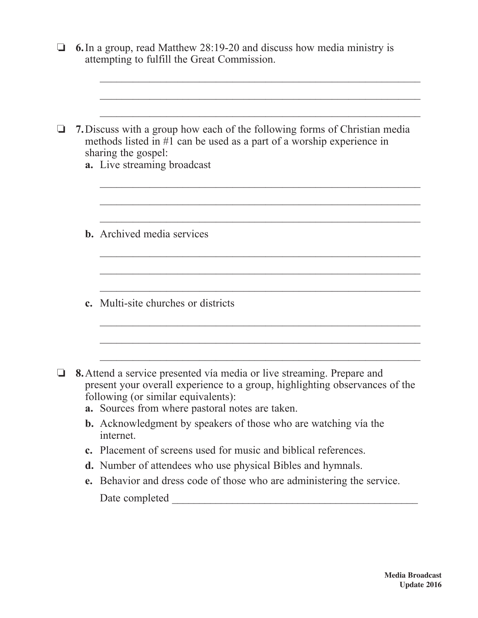|  | <b>6.</b> In a group, read Matthew 28:19-20 and discuss how media ministry is<br>attempting to fulfill the Great Commission.                                                                                                                    |
|--|-------------------------------------------------------------------------------------------------------------------------------------------------------------------------------------------------------------------------------------------------|
|  |                                                                                                                                                                                                                                                 |
|  |                                                                                                                                                                                                                                                 |
|  | <b>7.</b> Discuss with a group how each of the following forms of Christian media<br>methods listed in $#1$ can be used as a part of a worship experience in<br>sharing the gospel:<br>a. Live streaming broadcast                              |
|  |                                                                                                                                                                                                                                                 |
|  |                                                                                                                                                                                                                                                 |
|  | <b>b.</b> Archived media services                                                                                                                                                                                                               |
|  |                                                                                                                                                                                                                                                 |
|  |                                                                                                                                                                                                                                                 |
|  | <b>c.</b> Multi-site churches or districts                                                                                                                                                                                                      |
|  |                                                                                                                                                                                                                                                 |
|  |                                                                                                                                                                                                                                                 |
|  | 8. Attend a service presented vía media or live streaming. Prepare and<br>present your overall experience to a group, highlighting observances of the<br>following (or similar equivalents):<br>a. Sources from where pastoral notes are taken. |
|  | <b>b.</b> Acknowledgment by speakers of those who are watching vía the<br>internet.                                                                                                                                                             |
|  | c. Placement of screens used for music and biblical references.                                                                                                                                                                                 |
|  | <b>d.</b> Number of attendees who use physical Bibles and hymnals.                                                                                                                                                                              |
|  | e. Behavior and dress code of those who are administering the service.                                                                                                                                                                          |
|  |                                                                                                                                                                                                                                                 |
|  |                                                                                                                                                                                                                                                 |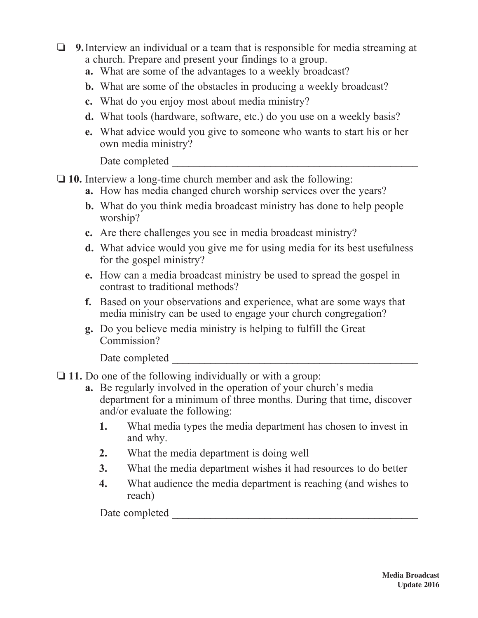- $\Box$  **9.** Interview an individual or a team that is responsible for media streaming at a church. Prepare and present your findings to a group.
	- **a.** What are some of the advantages to a weekly broadcast?
	- **b.** What are some of the obstacles in producing a weekly broadcast?
	- **c.** What do you enjoy most about media ministry?
	- **d.** What tools (hardware, software, etc.) do you use on a weekly basis?
	- **e.** What advice would you give to someone who wants to start his or her own media ministry?

Date completed  $\Box$ 

- $\Box$  **10.** Interview a long-time church member and ask the following:
	- **a.** How has media changed church worship services over the years?
	- **b.** What do you think media broadcast ministry has done to help people worship?
	- **c.** Are there challenges you see in media broadcast ministry?
	- **d.** What advice would you give me for using media for its best usefulness for the gospel ministry?
	- **e.** How can a media broadcast ministry be used to spread the gospel in contrast to traditional methods?
	- **f.** Based on your observations and experience, what are some ways that media ministry can be used to engage your church congregation?
	- **g.** Do you believe media ministry is helping to fulfill the Great Commission?

Date completed

- □ 11. Do one of the following individually or with a group:
	- **a.** Be regularly involved in the operation of your church's media department for a minimum of three months. During that time, discover and/or evaluate the following:
		- **1.** What media types the media department has chosen to invest in and why.
		- **2.** What the media department is doing well
		- **3.** What the media department wishes it had resources to do better
		- **4.** What audience the media department is reaching (and wishes to reach)

Date completed  $\Box$